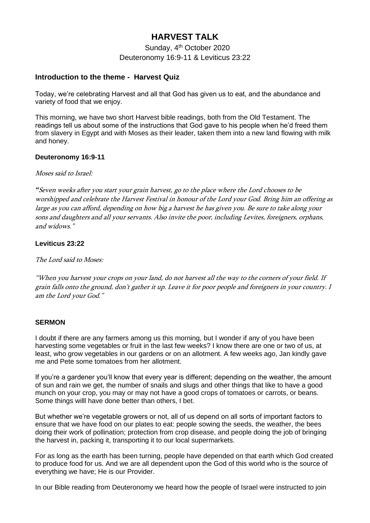# **HARVEST TALK**

Sunday, 4<sup>th</sup> October 2020 Deuteronomy 16:9-11 & Leviticus 23:22

## **Introduction to the theme - Harvest Quiz**

Today, we're celebrating Harvest and all that God has given us to eat, and the abundance and variety of food that we enjoy.

This morning, we have two short Harvest bible readings, both from the Old Testament. The readings tell us about some of the instructions that God gave to his people when he'd freed them from slavery in Egypt and with Moses as their leader, taken them into a new land flowing with milk and honey.

## **Deuteronomy 16:9-11**

#### Moses said to Israel:

*"*Seven weeks after you start your grain harvest, go to the place where the Lord chooses to be worshipped and celebrate the Harvest Festival in honour of the Lord your God. Bring him an offering as large as you can afford, depending on how big a harvest he has given you. Be sure to take along your sons and daughters and all your servants. Also invite the poor, including Levites, foreigners, orphans, and widows."

## **Leviticus 23:22**

The Lord said to Moses:

"When you harvest your crops on your land, do not harvest all the way to the corners of your field. If grain falls onto the ground, don't gather it up. Leave it for poor people and foreigners in your country. I am the Lord your God."

## **SERMON**

I doubt if there are any farmers among us this morning, but I wonder if any of you have been harvesting some vegetables or fruit in the last few weeks? I know there are one or two of us, at least, who grow vegetables in our gardens or on an allotment. A few weeks ago, Jan kindly gave me and Pete some tomatoes from her allotment.

If you're a gardener you'll know that every year is different; depending on the weather, the amount of sun and rain we get, the number of snails and slugs and other things that like to have a good munch on your crop, you may or may not have a good crops of tomatoes or carrots, or beans. Some things willl have done better than others, I bet.

But whether we're vegetable growers or not, all of us depend on all sorts of important factors to ensure that we have food on our plates to eat: people sowing the seeds, the weather, the bees doing their work of pollination; protection from crop disease, and people doing the job of bringing the harvest in, packing it, transporting it to our local supermarkets.

For as long as the earth has been turning, people have depended on that earth which God created to produce food for us. And we are all dependent upon the God of this world who is the source of everything we have; He is our Provider.

In our Bible reading from Deuteronomy we heard how the people of Israel were instructed to join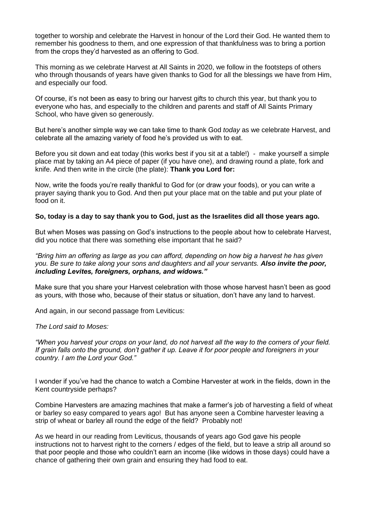together to worship and celebrate the Harvest in honour of the Lord their God. He wanted them to remember his goodness to them, and one expression of that thankfulness was to bring a portion from the crops they'd harvested as an offering to God.

This morning as we celebrate Harvest at All Saints in 2020, we follow in the footsteps of others who through thousands of years have given thanks to God for all the blessings we have from Him, and especially our food.

Of course, it's not been as easy to bring our harvest gifts to church this year, but thank you to everyone who has, and especially to the children and parents and staff of All Saints Primary School, who have given so generously.

But here's another simple way we can take time to thank God *today* as we celebrate Harvest, and celebrate all the amazing variety of food he's provided us with to eat.

Before you sit down and eat today (this works best if you sit at a table!) - make yourself a simple place mat by taking an A4 piece of paper (if you have one), and drawing round a plate, fork and knife. And then write in the circle (the plate): **Thank you Lord for:**

Now, write the foods you're really thankful to God for (or draw your foods), or you can write a prayer saying thank you to God. And then put your place mat on the table and put your plate of food on it.

#### **So, today is a day to say thank you to God, just as the Israelites did all those years ago.**

But when Moses was passing on God's instructions to the people about how to celebrate Harvest, did you notice that there was something else important that he said?

*"Bring him an offering as large as you can afford, depending on how big a harvest he has given you. Be sure to take along your sons and daughters and all your servants. Also invite the poor, including Levites, foreigners, orphans, and widows."*

Make sure that you share your Harvest celebration with those whose harvest hasn't been as good as yours, with those who, because of their status or situation, don't have any land to harvest.

And again, in our second passage from Leviticus:

#### *The Lord said to Moses:*

*"When you harvest your crops on your land, do not harvest all the way to the corners of your field. If grain falls onto the ground, don't gather it up. Leave it for poor people and foreigners in your country. I am the Lord your God."*

I wonder if you've had the chance to watch a Combine Harvester at work in the fields, down in the Kent countryside perhaps?

Combine Harvesters are amazing machines that make a farmer's job of harvesting a field of wheat or barley so easy compared to years ago! But has anyone seen a Combine harvester leaving a strip of wheat or barley all round the edge of the field? Probably not!

As we heard in our reading from Leviticus, thousands of years ago God gave his people instructions not to harvest right to the corners / edges of the field, but to leave a strip all around so that poor people and those who couldn't earn an income (like widows in those days) could have a chance of gathering their own grain and ensuring they had food to eat.